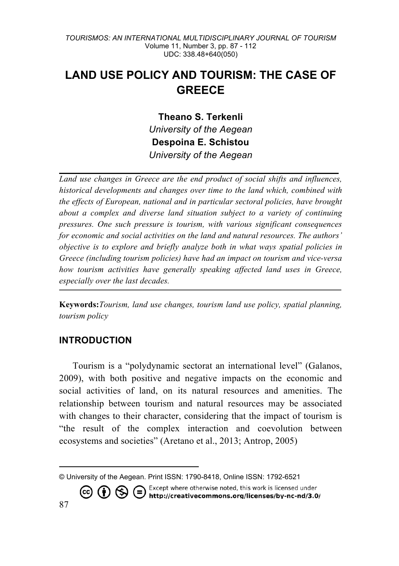# **LAND USE POLICY AND TOURISM: THE CASE OF GREECE**

**Theano S. Terkenli** *University of the Aegean* **Despoina E. Schistou** *University of the Aegean*

*Land use changes in Greece are the end product of social shifts and influences, historical developments and changes over time to the land which, combined with the effects of European, national and in particular sectoral policies, have brought about a complex and diverse land situation subject to a variety of continuing pressures. One such pressure is tourism, with various significant consequences for economic and social activities on the land and natural resources. The authors' objective is to explore and briefly analyze both in what ways spatial policies in Greece (including tourism policies) have had an impact on tourism and vice-versa how tourism activities have generally speaking affected land uses in Greece, especially over the last decades.* 

**Keywords:***Tourism, land use changes, tourism land use policy, spatial planning, tourism policy* 

### **INTRODUCTION**

Tourism is a "polydynamic sectorat an international level" (Galanos, 2009), with both positive and negative impacts on the economic and social activities of land, on its natural resources and amenities. The relationship between tourism and natural resources may be associated with changes to their character, considering that the impact of tourism is "the result of the complex interaction and coevolution between ecosystems and societies" (Aretano et al., 2013; Antrop, 2005)

© University of the Aegean. Print ISSN: 1790-8418, Online ISSN: 1792-6521<br>  $\left(\begin{matrix} \cdot & \cdot & \cdot \\ \cdot & \cdot & \cdot & \cdot \\ \cdot & \cdot & \cdot & \cdot \end{matrix}\right) \left(\begin{matrix} \cdot & \cdot & \cdot \\ \cdot & \cdot & \cdot & \cdot \\ \cdot & \cdot & \cdot & \cdot & \cdot \end{matrix}\right)$ http://creativecommons.org/licenses/by-nc-nd/3.0/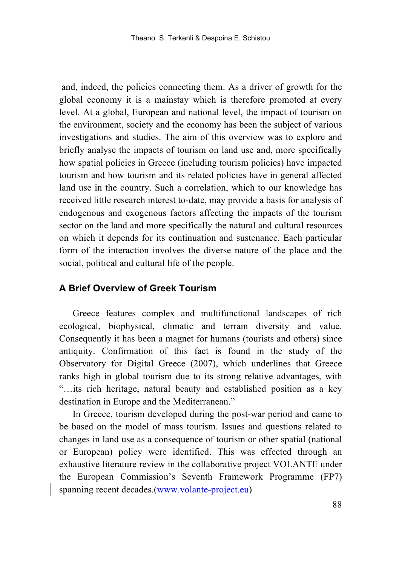and, indeed, the policies connecting them. As a driver of growth for the global economy it is a mainstay which is therefore promoted at every level. At a global, European and national level, the impact of tourism on the environment, society and the economy has been the subject of various investigations and studies. The aim of this overview was to explore and briefly analyse the impacts of tourism on land use and, more specifically how spatial policies in Greece (including tourism policies) have impacted tourism and how tourism and its related policies have in general affected land use in the country. Such a correlation, which to our knowledge has received little research interest to-date, may provide a basis for analysis of endogenous and exogenous factors affecting the impacts of the tourism sector on the land and more specifically the natural and cultural resources on which it depends for its continuation and sustenance. Each particular form of the interaction involves the diverse nature of the place and the social, political and cultural life of the people.

### **A Brief Overview of Greek Tourism**

Greece features complex and multifunctional landscapes of rich ecological, biophysical, climatic and terrain diversity and value. Consequently it has been a magnet for humans (tourists and others) since antiquity. Confirmation of this fact is found in the study of the Observatory for Digital Greece (2007), which underlines that Greece ranks high in global tourism due to its strong relative advantages, with "…its rich heritage, natural beauty and established position as a key destination in Europe and the Mediterranean."

In Greece, tourism developed during the post-war period and came to be based on the model of mass tourism. Issues and questions related to changes in land use as a consequence of tourism or other spatial (national or European) policy were identified. This was effected through an exhaustive literature review in the collaborative project VOLANTE under the European Commission's Seventh Framework Programme (FP7) spanning recent decades.(www.volante-project.eu)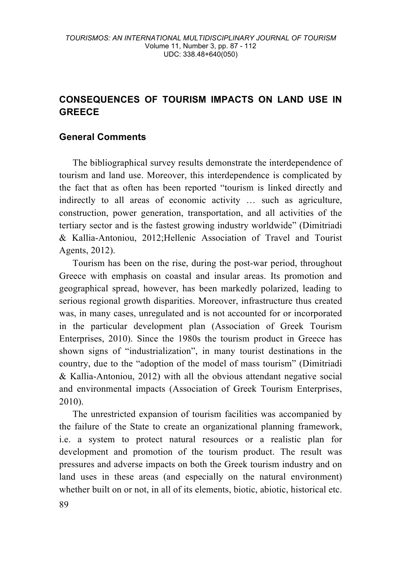## **CONSEQUENCES OF TOURISM IMPACTS ON LAND USE IN GREECE**

### **General Comments**

The bibliographical survey results demonstrate the interdependence of tourism and land use. Moreover, this interdependence is complicated by the fact that as often has been reported "tourism is linked directly and indirectly to all areas of economic activity … such as agriculture, construction, power generation, transportation, and all activities of the tertiary sector and is the fastest growing industry worldwide" (Dimitriadi & Kallia-Antoniou, 2012;Hellenic Association of Travel and Tourist Agents, 2012).

Tourism has been on the rise, during the post-war period, throughout Greece with emphasis on coastal and insular areas. Its promotion and geographical spread, however, has been markedly polarized, leading to serious regional growth disparities. Moreover, infrastructure thus created was, in many cases, unregulated and is not accounted for or incorporated in the particular development plan (Association of Greek Tourism Enterprises, 2010). Since the 1980s the tourism product in Greece has shown signs of "industrialization", in many tourist destinations in the country, due to the "adoption of the model of mass tourism" (Dimitriadi & Kallia-Antoniou, 2012) with all the obvious attendant negative social and environmental impacts (Association of Greek Tourism Enterprises, 2010).

The unrestricted expansion of tourism facilities was accompanied by the failure of the State to create an organizational planning framework, i.e. a system to protect natural resources or a realistic plan for development and promotion of the tourism product. The result was pressures and adverse impacts on both the Greek tourism industry and on land uses in these areas (and especially on the natural environment) whether built on or not, in all of its elements, biotic, abiotic, historical etc.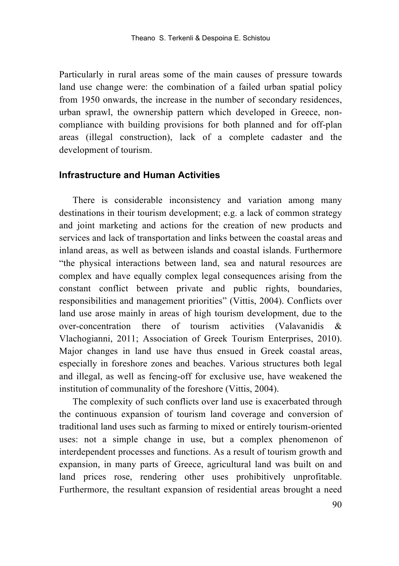Particularly in rural areas some of the main causes of pressure towards land use change were: the combination of a failed urban spatial policy from 1950 onwards, the increase in the number of secondary residences, urban sprawl, the ownership pattern which developed in Greece, noncompliance with building provisions for both planned and for off-plan areas (illegal construction), lack of a complete cadaster and the development of tourism.

### **Infrastructure and Human Activities**

There is considerable inconsistency and variation among many destinations in their tourism development; e.g. a lack of common strategy and joint marketing and actions for the creation of new products and services and lack of transportation and links between the coastal areas and inland areas, as well as between islands and coastal islands. Furthermore "the physical interactions between land, sea and natural resources are complex and have equally complex legal consequences arising from the constant conflict between private and public rights, boundaries, responsibilities and management priorities" (Vittis, 2004). Conflicts over land use arose mainly in areas of high tourism development, due to the over-concentration there of tourism activities (Valavanidis & Vlachogianni, 2011; Association of Greek Tourism Enterprises, 2010). Major changes in land use have thus ensued in Greek coastal areas, especially in foreshore zones and beaches. Various structures both legal and illegal, as well as fencing-off for exclusive use, have weakened the institution of communality of the foreshore (Vittis, 2004).

The complexity of such conflicts over land use is exacerbated through the continuous expansion of tourism land coverage and conversion of traditional land uses such as farming to mixed or entirely tourism-oriented uses: not a simple change in use, but a complex phenomenon of interdependent processes and functions. As a result of tourism growth and expansion, in many parts of Greece, agricultural land was built on and land prices rose, rendering other uses prohibitively unprofitable. Furthermore, the resultant expansion of residential areas brought a need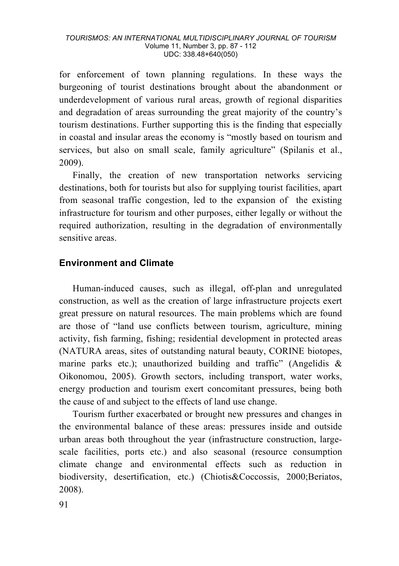for enforcement of town planning regulations. In these ways the burgeoning of tourist destinations brought about the abandonment or underdevelopment of various rural areas, growth of regional disparities and degradation of areas surrounding the great majority of the country's tourism destinations. Further supporting this is the finding that especially in coastal and insular areas the economy is "mostly based on tourism and services, but also on small scale, family agriculture" (Spilanis et al., 2009).

Finally, the creation of new transportation networks servicing destinations, both for tourists but also for supplying tourist facilities, apart from seasonal traffic congestion, led to the expansion of the existing infrastructure for tourism and other purposes, either legally or without the required authorization, resulting in the degradation of environmentally sensitive areas.

### **Environment and Climate**

Human-induced causes, such as illegal, off-plan and unregulated construction, as well as the creation of large infrastructure projects exert great pressure on natural resources. The main problems which are found are those of "land use conflicts between tourism, agriculture, mining activity, fish farming, fishing; residential development in protected areas (NATURA areas, sites of outstanding natural beauty, CORINE biotopes, marine parks etc.); unauthorized building and traffic" (Angelidis & Oikonomou, 2005). Growth sectors, including transport, water works, energy production and tourism exert concomitant pressures, being both the cause of and subject to the effects of land use change.

Tourism further exacerbated or brought new pressures and changes in the environmental balance of these areas: pressures inside and outside urban areas both throughout the year (infrastructure construction, largescale facilities, ports etc.) and also seasonal (resource consumption climate change and environmental effects such as reduction in biodiversity, desertification, etc.) (Chiotis&Coccossis, 2000;Beriatos, 2008).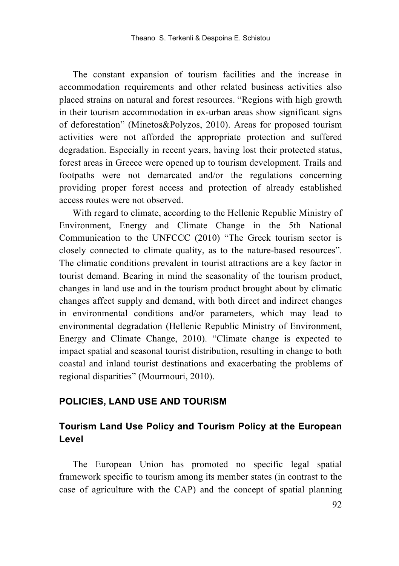The constant expansion of tourism facilities and the increase in accommodation requirements and other related business activities also placed strains on natural and forest resources. "Regions with high growth in their tourism accommodation in ex-urban areas show significant signs of deforestation" (Minetos&Polyzos, 2010). Areas for proposed tourism activities were not afforded the appropriate protection and suffered degradation. Especially in recent years, having lost their protected status, forest areas in Greece were opened up to tourism development. Trails and footpaths were not demarcated and/or the regulations concerning providing proper forest access and protection of already established access routes were not observed.

With regard to climate, according to the Hellenic Republic Ministry of Environment, Energy and Climate Change in the 5th National Communication to the UNFCCC (2010) "The Greek tourism sector is closely connected to climate quality, as to the nature-based resources". The climatic conditions prevalent in tourist attractions are a key factor in tourist demand. Bearing in mind the seasonality of the tourism product, changes in land use and in the tourism product brought about by climatic changes affect supply and demand, with both direct and indirect changes in environmental conditions and/or parameters, which may lead to environmental degradation (Hellenic Republic Ministry of Environment, Energy and Climate Change, 2010). "Climate change is expected to impact spatial and seasonal tourist distribution, resulting in change to both coastal and inland tourist destinations and exacerbating the problems of regional disparities" (Mourmouri, 2010).

### **POLICIES, LAND USE AND TOURISM**

## **Tourism Land Use Policy and Tourism Policy at the European Level**

The European Union has promoted no specific legal spatial framework specific to tourism among its member states (in contrast to the case of agriculture with the CAP) and the concept of spatial planning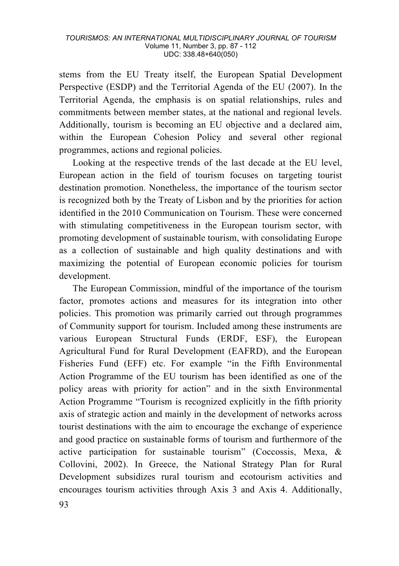stems from the EU Treaty itself, the European Spatial Development Perspective (ESDP) and the Territorial Agenda of the EU (2007). In the Territorial Agenda, the emphasis is on spatial relationships, rules and commitments between member states, at the national and regional levels. Additionally, tourism is becoming an EU objective and a declared aim, within the European Cohesion Policy and several other regional programmes, actions and regional policies.

Looking at the respective trends of the last decade at the EU level, European action in the field of tourism focuses on targeting tourist destination promotion. Nonetheless, the importance of the tourism sector is recognized both by the Treaty of Lisbon and by the priorities for action identified in the 2010 Communication on Tourism. These were concerned with stimulating competitiveness in the European tourism sector, with promoting development of sustainable tourism, with consolidating Europe as a collection of sustainable and high quality destinations and with maximizing the potential of European economic policies for tourism development.

The European Commission, mindful of the importance of the tourism factor, promotes actions and measures for its integration into other policies. This promotion was primarily carried out through programmes of Community support for tourism. Included among these instruments are various European Structural Funds (ERDF, ESF), the European Agricultural Fund for Rural Development (EAFRD), and the European Fisheries Fund (EFF) etc. For example "in the Fifth Environmental Action Programme of the EU tourism has been identified as one of the policy areas with priority for action" and in the sixth Environmental Action Programme "Tourism is recognized explicitly in the fifth priority axis of strategic action and mainly in the development of networks across tourist destinations with the aim to encourage the exchange of experience and good practice on sustainable forms of tourism and furthermore of the active participation for sustainable tourism" (Coccossis, Mexa, & Collovini, 2002). In Greece, the National Strategy Plan for Rural Development subsidizes rural tourism and ecotourism activities and encourages tourism activities through Axis 3 and Axis 4. Additionally,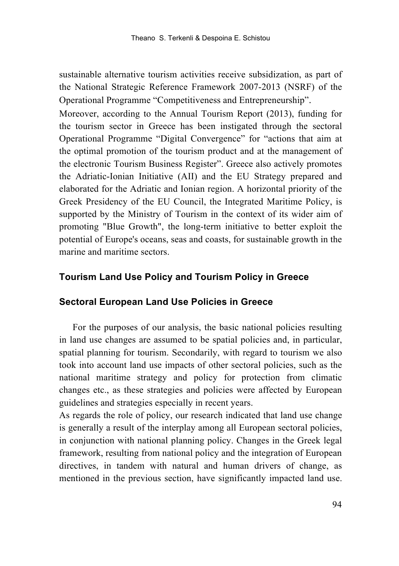sustainable alternative tourism activities receive subsidization, as part of the National Strategic Reference Framework 2007-2013 (NSRF) of the Operational Programme "Competitiveness and Entrepreneurship".

Moreover, according to the Annual Tourism Report (2013), funding for the tourism sector in Greece has been instigated through the sectoral Operational Programme "Digital Convergence" for "actions that aim at the optimal promotion of the tourism product and at the management of the electronic Tourism Business Register". Greece also actively promotes the Adriatic-Ionian Initiative (AII) and the EU Strategy prepared and elaborated for the Adriatic and Ionian region. A horizontal priority of the Greek Presidency of the EU Council, the Integrated Maritime Policy, is supported by the Ministry of Tourism in the context of its wider aim of promoting "Blue Growth", the long-term initiative to better exploit the potential of Europe's oceans, seas and coasts, for sustainable growth in the marine and maritime sectors.

#### **Tourism Land Use Policy and Tourism Policy in Greece**

#### **Sectoral European Land Use Policies in Greece**

For the purposes of our analysis, the basic national policies resulting in land use changes are assumed to be spatial policies and, in particular, spatial planning for tourism. Secondarily, with regard to tourism we also took into account land use impacts of other sectoral policies, such as the national maritime strategy and policy for protection from climatic changes etc., as these strategies and policies were affected by European guidelines and strategies especially in recent years.

As regards the role of policy, our research indicated that land use change is generally a result of the interplay among all European sectoral policies, in conjunction with national planning policy. Changes in the Greek legal framework, resulting from national policy and the integration of European directives, in tandem with natural and human drivers of change, as mentioned in the previous section, have significantly impacted land use.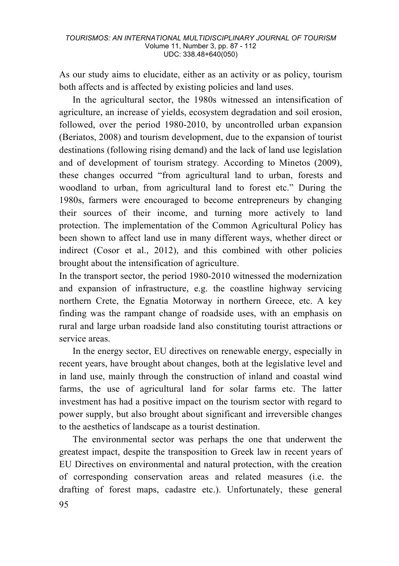As our study aims to elucidate, either as an activity or as policy, tourism both affects and is affected by existing policies and land uses.

In the agricultural sector, the 1980s witnessed an intensification of agriculture, an increase of yields, ecosystem degradation and soil erosion, followed, over the period 1980-2010, by uncontrolled urban expansion (Beriatos, 2008) and tourism development, due to the expansion of tourist destinations (following rising demand) and the lack of land use legislation and of development of tourism strategy*.* According to Minetos (2009), these changes occurred "from agricultural land to urban, forests and woodland to urban, from agricultural land to forest etc." During the 1980s, farmers were encouraged to become entrepreneurs by changing their sources of their income, and turning more actively to land protection. The implementation of the Common Agricultural Policy has been shown to affect land use in many different ways, whether direct or indirect (Cosor et al., 2012), and this combined with other policies brought about the intensification of agriculture.

In the transport sector, the period 1980-2010 witnessed the modernization and expansion of infrastructure, e.g. the coastline highway servicing northern Crete, the Egnatia Motorway in northern Greece, etc. A key finding was the rampant change of roadside uses, with an emphasis on rural and large urban roadside land also constituting tourist attractions or service areas.

In the energy sector, EU directives on renewable energy, especially in recent years, have brought about changes, both at the legislative level and in land use, mainly through the construction of inland and coastal wind farms, the use of agricultural land for solar farms etc. The latter investment has had a positive impact on the tourism sector with regard to power supply, but also brought about significant and irreversible changes to the aesthetics of landscape as a tourist destination.

The environmental sector was perhaps the one that underwent the greatest impact, despite the transposition to Greek law in recent years of EU Directives on environmental and natural protection, with the creation of corresponding conservation areas and related measures (i.e. the drafting of forest maps, cadastre etc.). Unfortunately, these general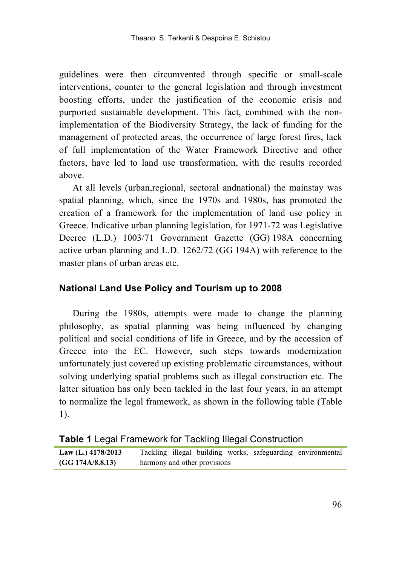guidelines were then circumvented through specific or small-scale interventions, counter to the general legislation and through investment boosting efforts, under the justification of the economic crisis and purported sustainable development. This fact, combined with the nonimplementation of the Biodiversity Strategy, the lack of funding for the management of protected areas, the occurrence of large forest fires, lack of full implementation of the Water Framework Directive and other factors, have led to land use transformation, with the results recorded above.

At all levels (urban,regional, sectoral andnational) the mainstay was spatial planning, which, since the 1970s and 1980s, has promoted the creation of a framework for the implementation of land use policy in Greece. Indicative urban planning legislation, for 1971-72 was Legislative Decree (L.D.) 1003/71 Government Gazette (GG) 198Α concerning active urban planning and L.D. 1262/72 (GG 194Α) with reference to the master plans of urban areas etc.

#### **National Land Use Policy and Tourism up to 2008**

During the 1980s, attempts were made to change the planning philosophy, as spatial planning was being influenced by changing political and social conditions of life in Greece, and by the accession of Greece into the EC. However, such steps towards modernization unfortunately just covered up existing problematic circumstances, without solving underlying spatial problems such as illegal construction etc. The latter situation has only been tackled in the last four years, in an attempt to normalize the legal framework, as shown in the following table (Table 1).

| Table 1 Legal Framework for Tackling Illegal Construction |  |  |
|-----------------------------------------------------------|--|--|
|                                                           |  |  |

**Law (L.) 4178/2013 (GG 174Α/8.8.13)** Tackling illegal building works, safeguarding environmental harmony and other provisions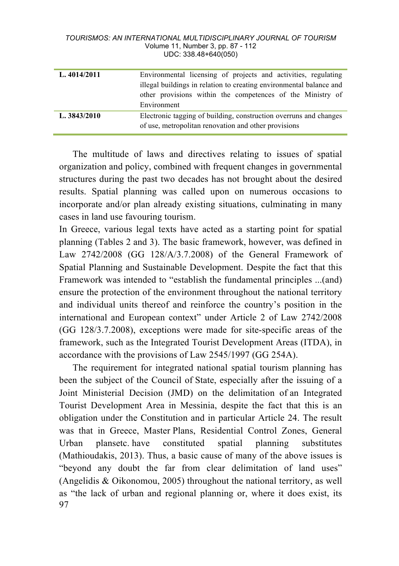| L. 4014/2011 | Environmental licensing of projects and activities, regulating      |
|--------------|---------------------------------------------------------------------|
|              | illegal buildings in relation to creating environmental balance and |
|              | other provisions within the competences of the Ministry of          |
|              | Environment                                                         |
| L. 3843/2010 | Electronic tagging of building, construction overruns and changes   |
|              | of use, metropolitan renovation and other provisions                |

The multitude of laws and directives relating to issues of spatial organization and policy, combined with frequent changes in governmental structures during the past two decades has not brought about the desired results. Spatial planning was called upon on numerous occasions to incorporate and/or plan already existing situations, culminating in many cases in land use favouring tourism.

In Greece, various legal texts have acted as a starting point for spatial planning (Tables 2 and 3). The basic framework, however, was defined in Law 2742/2008 (GG 128/A/3.7.2008) of the General Framework of Spatial Planning and Sustainable Development. Despite the fact that this Framework was intended to "establish the fundamental principles ...(and) ensure the protection of the environment throughout the national territory and individual units thereof and reinforce the country's position in the international and European context" under Article 2 of Law 2742/2008 (GG 128/3.7.2008), exceptions were made for site-specific areas of the framework, such as the Integrated Tourist Development Areas (ITDA), in accordance with the provisions of Law 2545/1997 (GG 254A).

97 The requirement for integrated national spatial tourism planning has been the subject of the Council of State, especially after the issuing of a Joint Ministerial Decision (JMD) on the delimitation of an Integrated Tourist Development Area in Messinia, despite the fact that this is an obligation under the Constitution and in particular Article 24. The result was that in Greece, Master Plans, Residential Control Zones, General Urban plansetc. have constituted spatial planning substitutes (Mathioudakis, 2013). Thus, a basic cause of many of the above issues is "beyond any doubt the far from clear delimitation of land uses" (Angelidis & Oikonomou, 2005) throughout the national territory, as well as "the lack of urban and regional planning or, where it does exist, its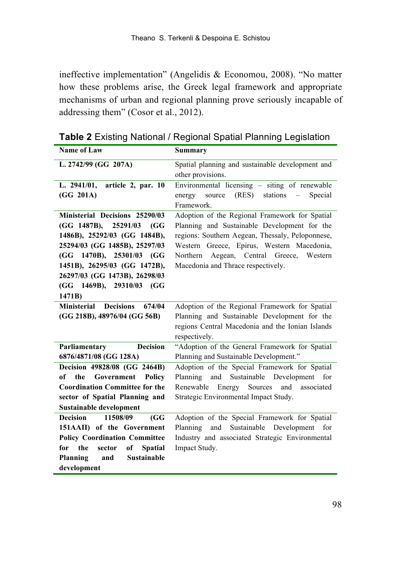ineffective implementation" (Angelidis & Economou, 2008). "No matter how these problems arise, the Greek legal framework and appropriate mechanisms of urban and regional planning prove seriously incapable of addressing them" (Cosor et al., 2012).

| <b>Name of Law</b>                           | Summary                                                                |
|----------------------------------------------|------------------------------------------------------------------------|
| L. 2742/99 (GG 207A)                         | Spatial planning and sustainable development and                       |
|                                              | other provisions.                                                      |
| L. 2941/01, article 2, par. 10               | Environmental licensing $\overline{\phantom{a}}$ - siting of renewable |
| (GG 201A)                                    | energy<br>source<br>$(RES)$ stations $-$<br>Special                    |
|                                              | Framework.                                                             |
| Ministerial Decisions 25290/03               | Adoption of the Regional Framework for Spatial                         |
| (GG 1487B), 25291/03<br>(GG                  | Planning and Sustainable Development for the                           |
| 1486B), 25292/03 (GG 1484B),                 | regions: Southern Aegean, Thessaly, Peloponnese,                       |
| 25294/03 (GG 1485B), 25297/03                | Western Greece, Epirus, Western Macedonia,                             |
| (GG 1470B), 25301/03 (GG                     | Northern Aegean, Central Greece, Western                               |
| 1451B), 26295/03 (GG 1472B),                 | Macedonia and Thrace respectively.                                     |
| 26297/03 (GG 1473B), 26298/03                |                                                                        |
| (GG 1469B), 29310/03 (GG                     |                                                                        |
| 1471B)                                       |                                                                        |
| <b>Ministerial Decisions</b><br>674/04       | Adoption of the Regional Framework for Spatial                         |
| (GG 218B), 48976/04 (GG 56B)                 | Planning and Sustainable Development for the                           |
|                                              | regions Central Macedonia and the Ionian Islands                       |
|                                              | respectively.                                                          |
| <b>Decision</b><br>Parliamentary             | "Adoption of the General Framework for Spatial                         |
| 6876/4871/08 (GG 128A)                       | Planning and Sustainable Development."                                 |
| Decision 49828/08 (GG 2464B)                 | Adoption of the Special Framework for Spatial                          |
| of the Government Policy                     | Planning and Sustainable Development for                               |
| <b>Coordination Committee for the</b>        | Renewable Energy Sources<br>and<br>associated                          |
| sector of Spatial Planning and               | Strategic Environmental Impact Study.                                  |
| Sustainable development                      |                                                                        |
| <b>Decision</b><br>11508/09<br>(GG)          | Adoption of the Special Framework for Spatial                          |
| 151AAII) of the Government                   | and<br>Sustainable<br>Development<br>Planning<br>for                   |
| <b>Policy Coordination Committee</b>         | Industry and associated Strategic Environmental                        |
| the<br>sector<br>of<br>for<br><b>Spatial</b> | Impact Study.                                                          |
| Planning<br>Sustainable<br>and               |                                                                        |
| development                                  |                                                                        |

**Table 2** Existing National / Regional Spatial Planning Legislation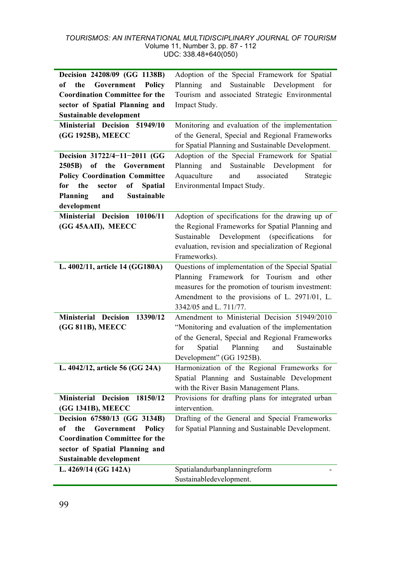| Decision 24208/09 (GG 1138B)             | Adoption of the Special Framework for Spatial        |
|------------------------------------------|------------------------------------------------------|
| Government<br>the<br><b>Policy</b><br>of | Planning and Sustainable Development<br>for          |
| <b>Coordination Committee for the</b>    | Tourism and associated Strategic Environmental       |
| sector of Spatial Planning and           | Impact Study.                                        |
| <b>Sustainable development</b>           |                                                      |
| Ministerial Decision 51949/10            | Monitoring and evaluation of the implementation      |
| (GG 1925B), MEECC                        | of the General, Special and Regional Frameworks      |
|                                          | for Spatial Planning and Sustainable Development.    |
| Decision 31722/4-11-2011 (GG             | Adoption of the Special Framework for Spatial        |
| 2505B)                                   | Planning and<br>Sustainable<br>Development<br>for    |
| of the Government                        |                                                      |
| <b>Policy Coordination Committee</b>     | Aquaculture<br>and<br>associated<br>Strategic        |
| the<br>for<br>sector<br>of<br>Spatial    | Environmental Impact Study.                          |
| Planning<br><b>Sustainable</b><br>and    |                                                      |
| development                              |                                                      |
| Ministerial Decision 10106/11            | Adoption of specifications for the drawing up of     |
| (GG 45AAII), MEECC                       | the Regional Frameworks for Spatial Planning and     |
|                                          | Development<br>(specifications<br>Sustainable<br>for |
|                                          | evaluation, revision and specialization of Regional  |
|                                          | Frameworks).                                         |
| L. 4002/11, article 14 (GG180A)          | Questions of implementation of the Special Spatial   |
|                                          | Planning Framework for Tourism and other             |
|                                          | measures for the promotion of tourism investment:    |
|                                          | Amendment to the provisions of L. 2971/01, L.        |
|                                          | 3342/05 and L. 711/77.                               |
| <b>Ministerial Decision</b><br>13390/12  | Amendment to Ministerial Decision 51949/2010         |
| (GG 811B), MEECC                         | "Monitoring and evaluation of the implementation     |
|                                          | of the General, Special and Regional Frameworks      |
|                                          | Spatial<br>Planning<br>and<br>Sustainable<br>for     |
|                                          | Development" (GG 1925B).                             |
| L. 4042/12, article 56 (GG 24A)          | Harmonization of the Regional Frameworks for         |
|                                          | Spatial Planning and Sustainable Development         |
|                                          | with the River Basin Management Plans.               |
| <b>Ministerial Decision</b><br>18150/12  | Provisions for drafting plans for integrated urban   |
| (GG 1341B), MEECC                        | intervention.                                        |
| Decision 67580/13 (GG 3134B)             | Drafting of the General and Special Frameworks       |
| of<br>the<br>Government<br>Policy        | for Spatial Planning and Sustainable Development.    |
| <b>Coordination Committee for the</b>    |                                                      |
| sector of Spatial Planning and           |                                                      |
| Sustainable development                  |                                                      |
| L. 4269/14 (GG 142A)                     | Spatialandurbanplanningreform                        |
|                                          | Sustainabledevelopment.                              |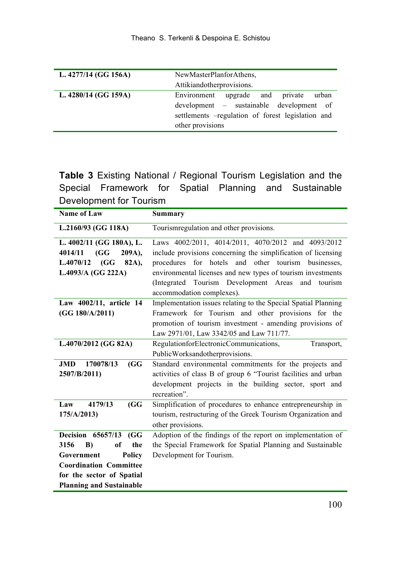| L. 4277/14 (GG 156A) | NewMasterPlanforAthens,<br>Attikiandotherprovisions.                                                                                                                |
|----------------------|---------------------------------------------------------------------------------------------------------------------------------------------------------------------|
| L. 4280/14 (GG 159A) | Environment<br>upgrade and<br>urban<br>private<br>development – sustainable development of<br>settlements -regulation of forest legislation and<br>other provisions |

**Table 3** Existing National / Regional Tourism Legislation and the Special Framework for Spatial Planning and Sustainable Development for Tourism

| <u>Bovoiopinonic ioi Toanomi</u><br>Name of Law | Summary                                                                           |
|-------------------------------------------------|-----------------------------------------------------------------------------------|
|                                                 |                                                                                   |
| L.2160/93 (GG 118A)                             | Tourismregulation and other provisions.                                           |
| L. 4002/11 (GG 180A), L.                        | Laws 4002/2011, 4014/2011, 4070/2012 and 4093/2012                                |
| 4014/11<br>(GG)<br>209A),                       | include provisions concerning the simplification of licensing                     |
| (GG)<br>82A),<br>L.4070/12                      | procedures for hotels and other tourism<br>businesses.                            |
| L.4093/A (GG 222A)                              | environmental licenses and new types of tourism investments                       |
|                                                 | (Integrated Tourism Development Areas<br>and tourism<br>accommodation complexes). |
| Law 4002/11, article 14                         | Implementation issues relating to the Special Spatial Planning                    |
| (GG 180/A/2011)                                 | Framework for Tourism and other provisions for the                                |
|                                                 | promotion of tourism investment - amending provisions of                          |
|                                                 | Law 2971/01, Law 3342/05 and Law 711/77.                                          |
| L.4070/2012 (GG 82A)                            | RegulationforElectronicCommunications,<br>Transport,                              |
|                                                 | PublicWorksandotherprovisions.                                                    |
| 170078/13<br><b>JMD</b><br>(GG)                 | Standard environmental commitments for the projects and                           |
| 2507/B/2011)                                    | activities of class B of group 6 "Tourist facilities and urban                    |
|                                                 | development projects in the building sector, sport and                            |
|                                                 | recreation".                                                                      |
| 4179/13<br>Law<br>(GG)                          | Simplification of procedures to enhance entrepreneurship in                       |
| 175/A/2013)                                     | tourism, restructuring of the Greek Tourism Organization and                      |
|                                                 | other provisions.                                                                 |
| <b>Decision</b> 65657/13<br>(GG)                | Adoption of the findings of the report on implementation of                       |
| the<br>3156<br>of<br>$\bf{B}$                   | the Special Framework for Spatial Planning and Sustainable                        |
| Government<br>Policy                            | Development for Tourism.                                                          |
| <b>Coordination Committee</b>                   |                                                                                   |
| for the sector of Spatial                       |                                                                                   |
| <b>Planning and Sustainable</b>                 |                                                                                   |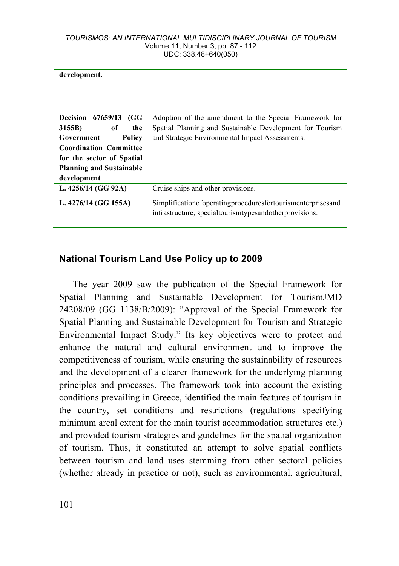**development.**

| <b>Decision</b> 67659/13<br>(GG)<br>3155B)<br>of<br>the<br>Government<br>Policy<br><b>Coordination Committee</b><br>for the sector of Spatial<br><b>Planning and Sustainable</b><br>development | Adoption of the amendment to the Special Framework for<br>Spatial Planning and Sustainable Development for Tourism<br>and Strategic Environmental Impact Assessments. |
|-------------------------------------------------------------------------------------------------------------------------------------------------------------------------------------------------|-----------------------------------------------------------------------------------------------------------------------------------------------------------------------|
| L. 4256/14 (GG 92A)                                                                                                                                                                             | Cruise ships and other provisions.                                                                                                                                    |
| L. 4276/14 (GG 155A)                                                                                                                                                                            | Simplificationofoperatingproceduresfortourismenterprisesand<br>infrastructure, specialtourismtypesandotherprovisions.                                                 |

## **National Tourism Land Use Policy up to 2009**

The year 2009 saw the publication of the Special Framework for Spatial Planning and Sustainable Development for TourismJMD 24208/09 (GG 1138/B/2009): "Approval of the Special Framework for Spatial Planning and Sustainable Development for Tourism and Strategic Environmental Impact Study." Its key objectives were to protect and enhance the natural and cultural environment and to improve the competitiveness of tourism, while ensuring the sustainability of resources and the development of a clearer framework for the underlying planning principles and processes. The framework took into account the existing conditions prevailing in Greece, identified the main features of tourism in the country, set conditions and restrictions (regulations specifying minimum areal extent for the main tourist accommodation structures etc.) and provided tourism strategies and guidelines for the spatial organization of tourism. Thus, it constituted an attempt to solve spatial conflicts between tourism and land uses stemming from other sectoral policies (whether already in practice or not), such as environmental, agricultural,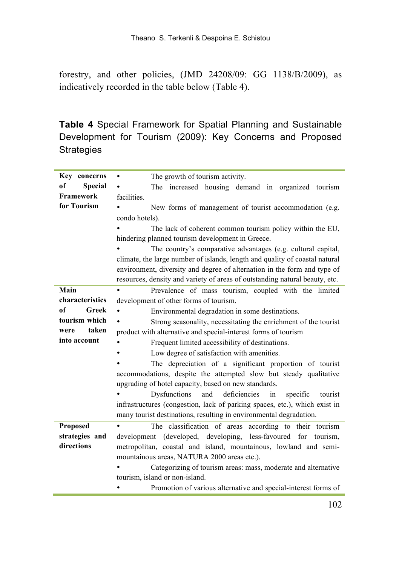forestry, and other policies, (JMD 24208/09: GG 1138/B/2009), as indicatively recorded in the table below (Table 4).

**Table 4** Special Framework for Spatial Planning and Sustainable Development for Tourism (2009): Key Concerns and Proposed **Strategies** 

| Key concerns                    | The growth of tourism activity.<br>٠                                        |  |  |  |  |  |  |  |  |  |
|---------------------------------|-----------------------------------------------------------------------------|--|--|--|--|--|--|--|--|--|
| <sub>of</sub><br><b>Special</b> | The increased housing demand in organized tourism                           |  |  |  |  |  |  |  |  |  |
| Framework                       | facilities.                                                                 |  |  |  |  |  |  |  |  |  |
| for Tourism                     | New forms of management of tourist accommodation (e.g.                      |  |  |  |  |  |  |  |  |  |
|                                 | condo hotels).                                                              |  |  |  |  |  |  |  |  |  |
|                                 | The lack of coherent common tourism policy within the EU,                   |  |  |  |  |  |  |  |  |  |
|                                 | hindering planned tourism development in Greece.                            |  |  |  |  |  |  |  |  |  |
|                                 | The country's comparative advantages (e.g. cultural capital,                |  |  |  |  |  |  |  |  |  |
|                                 | climate, the large number of islands, length and quality of coastal natural |  |  |  |  |  |  |  |  |  |
|                                 | environment, diversity and degree of alternation in the form and type of    |  |  |  |  |  |  |  |  |  |
|                                 | resources, density and variety of areas of outstanding natural beauty, etc. |  |  |  |  |  |  |  |  |  |
| Main                            | Prevalence of mass tourism, coupled with the limited                        |  |  |  |  |  |  |  |  |  |
| characteristics                 | development of other forms of tourism.                                      |  |  |  |  |  |  |  |  |  |
| of<br>Greek                     | Environmental degradation in some destinations.<br>$\bullet$                |  |  |  |  |  |  |  |  |  |
| tourism which                   | Strong seasonality, necessitating the enrichment of the tourist             |  |  |  |  |  |  |  |  |  |
| taken<br>were                   | product with alternative and special-interest forms of tourism              |  |  |  |  |  |  |  |  |  |
| into account                    | Frequent limited accessibility of destinations.                             |  |  |  |  |  |  |  |  |  |
|                                 | Low degree of satisfaction with amenities.<br>$\bullet$                     |  |  |  |  |  |  |  |  |  |
|                                 | The depreciation of a significant proportion of tourist                     |  |  |  |  |  |  |  |  |  |
|                                 | accommodations, despite the attempted slow but steady qualitative           |  |  |  |  |  |  |  |  |  |
|                                 | upgrading of hotel capacity, based on new standards.                        |  |  |  |  |  |  |  |  |  |
|                                 | Dysfunctions<br>and<br>deficiencies<br>in<br>specific<br>tourist            |  |  |  |  |  |  |  |  |  |
|                                 | infrastructures (congestion, lack of parking spaces, etc.), which exist in  |  |  |  |  |  |  |  |  |  |
|                                 | many tourist destinations, resulting in environmental degradation.          |  |  |  |  |  |  |  |  |  |
| Proposed                        | The classification of areas according to their tourism                      |  |  |  |  |  |  |  |  |  |
| strategies and                  | development (developed, developing, less-favoured for tourism,              |  |  |  |  |  |  |  |  |  |
| directions                      | metropolitan, coastal and island, mountainous, lowland and semi-            |  |  |  |  |  |  |  |  |  |
|                                 | mountainous areas, NATURA 2000 areas etc.).                                 |  |  |  |  |  |  |  |  |  |
|                                 | Categorizing of tourism areas: mass, moderate and alternative               |  |  |  |  |  |  |  |  |  |
|                                 | tourism, island or non-island.                                              |  |  |  |  |  |  |  |  |  |
|                                 | Promotion of various alternative and special-interest forms of              |  |  |  |  |  |  |  |  |  |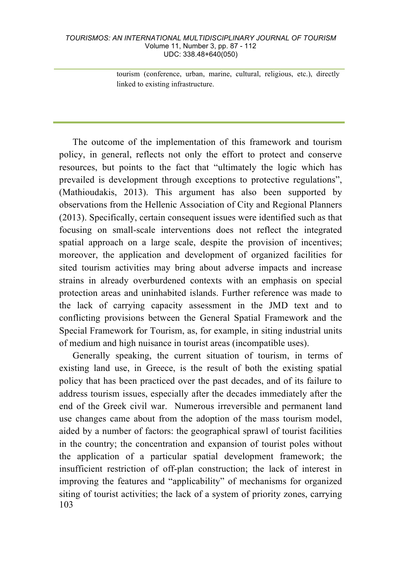tourism (conference, urban, marine, cultural, religious, etc.), directly linked to existing infrastructure.

The outcome of the implementation of this framework and tourism policy, in general, reflects not only the effort to protect and conserve resources, but points to the fact that "ultimately the logic which has prevailed is development through exceptions to protective regulations", (Mathioudakis, 2013). This argument has also been supported by observations from the Hellenic Association of City and Regional Planners (2013). Specifically, certain consequent issues were identified such as that focusing on small-scale interventions does not reflect the integrated spatial approach on a large scale, despite the provision of incentives; moreover, the application and development of organized facilities for sited tourism activities may bring about adverse impacts and increase strains in already overburdened contexts with an emphasis on special protection areas and uninhabited islands. Further reference was made to the lack of carrying capacity assessment in the JMD text and to conflicting provisions between the General Spatial Framework and the Special Framework for Tourism, as, for example, in siting industrial units of medium and high nuisance in tourist areas (incompatible uses).

103 Generally speaking, the current situation of tourism, in terms of existing land use, in Greece, is the result of both the existing spatial policy that has been practiced over the past decades, and of its failure to address tourism issues, especially after the decades immediately after the end of the Greek civil war. Numerous irreversible and permanent land use changes came about from the adoption of the mass tourism model, aided by a number of factors: the geographical sprawl of tourist facilities in the country; the concentration and expansion of tourist poles without the application of a particular spatial development framework; the insufficient restriction of off-plan construction; the lack of interest in improving the features and "applicability" of mechanisms for organized siting of tourist activities; the lack of a system of priority zones, carrying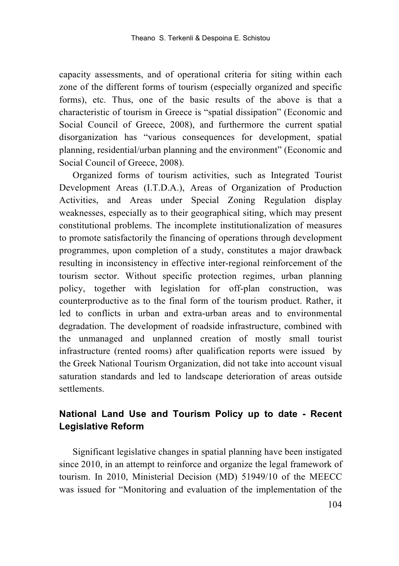capacity assessments, and of operational criteria for siting within each zone of the different forms of tourism (especially organized and specific forms), etc. Thus, one of the basic results of the above is that a characteristic of tourism in Greece is "spatial dissipation" (Economic and Social Council of Greece, 2008), and furthermore the current spatial disorganization has "various consequences for development, spatial planning, residential/urban planning and the environment" (Economic and Social Council of Greece, 2008).

Organized forms of tourism activities, such as Integrated Tourist Development Areas (I.T.D.A.), Areas of Organization of Production Activities, and Areas under Special Zoning Regulation display weaknesses, especially as to their geographical siting, which may present constitutional problems. The incomplete institutionalization of measures to promote satisfactorily the financing of operations through development programmes, upon completion of a study, constitutes a major drawback resulting in inconsistency in effective inter-regional reinforcement of the tourism sector. Without specific protection regimes, urban planning policy, together with legislation for off-plan construction, was counterproductive as to the final form of the tourism product. Rather, it led to conflicts in urban and extra-urban areas and to environmental degradation. The development of roadside infrastructure, combined with the unmanaged and unplanned creation of mostly small tourist infrastructure (rented rooms) after qualification reports were issued by the Greek National Tourism Organization, did not take into account visual saturation standards and led to landscape deterioration of areas outside settlements.

## **National Land Use and Tourism Policy up to date - Recent Legislative Reform**

Significant legislative changes in spatial planning have been instigated since 2010, in an attempt to reinforce and organize the legal framework of tourism. In 2010, Ministerial Decision (MD) 51949/10 of the MEECC was issued for "Monitoring and evaluation of the implementation of the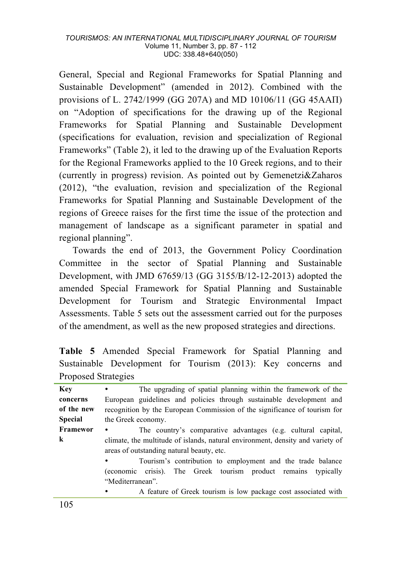General, Special and Regional Frameworks for Spatial Planning and Sustainable Development" (amended in 2012). Combined with the provisions of L. 2742/1999 (GG 207A) and MD 10106/11 (GG 45AAΠ) on "Adoption of specifications for the drawing up of the Regional Frameworks for Spatial Planning and Sustainable Development (specifications for evaluation, revision and specialization of Regional Frameworks" (Table 2), it led to the drawing up of the Εvaluation Reports for the Regional Frameworks applied to the 10 Greek regions, and to their (currently in progress) revision. As pointed out by Gemenetzi&Zaharos (2012), "the evaluation, revision and specialization of the Regional Frameworks for Spatial Planning and Sustainable Development of the regions of Greece raises for the first time the issue of the protection and management of landscape as a significant parameter in spatial and regional planning".

Towards the end of 2013, the Government Policy Coordination Committee in the sector of Spatial Planning and Sustainable Development, with JMD 67659/13 (GG 3155/B/12-12-2013) adopted the amended Special Framework for Spatial Planning and Sustainable Development for Tourism and Strategic Environmental Impact Assessments. Table 5 sets out the assessment carried out for the purposes of the amendment, as well as the new proposed strategies and directions.

|  |                     |  | Table 5 Amended Special Framework for Spatial Planning and   |  |  |
|--|---------------------|--|--------------------------------------------------------------|--|--|
|  |                     |  | Sustainable Development for Tourism (2013): Key concerns and |  |  |
|  | Proposed Strategies |  |                                                              |  |  |

| <b>Key</b>     | The upgrading of spatial planning within the framework of the                                                               |  |  |  |
|----------------|-----------------------------------------------------------------------------------------------------------------------------|--|--|--|
| concerns       | European guidelines and policies through sustainable development and                                                        |  |  |  |
| of the new     | recognition by the European Commission of the significance of tourism for                                                   |  |  |  |
| <b>Special</b> | the Greek economy.                                                                                                          |  |  |  |
| Framewor       | The country's comparative advantages (e.g. cultural capital,                                                                |  |  |  |
| k              | climate, the multitude of islands, natural environment, density and variety of<br>areas of outstanding natural beauty, etc. |  |  |  |
|                | Tourism's contribution to employment and the trade balance                                                                  |  |  |  |
|                | (economic crisis). The Greek tourism product remains typically<br>"Mediterranean".                                          |  |  |  |
|                | A feature of Greek tourism is low package cost associated with<br>$\bullet$                                                 |  |  |  |
| - - -          |                                                                                                                             |  |  |  |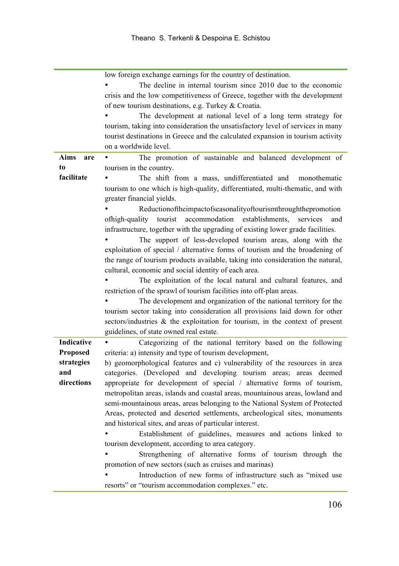|                   | low foreign exchange earnings for the country of destination.                    |  |  |  |  |  |  |  |
|-------------------|----------------------------------------------------------------------------------|--|--|--|--|--|--|--|
|                   | The decline in internal tourism since 2010 due to the economic                   |  |  |  |  |  |  |  |
|                   | crisis and the low competitiveness of Greece, together with the development      |  |  |  |  |  |  |  |
|                   | of new tourism destinations, e.g. Turkey & Croatia.                              |  |  |  |  |  |  |  |
|                   | The development at national level of a long term strategy for                    |  |  |  |  |  |  |  |
|                   | tourism, taking into consideration the unsatisfactory level of services in many  |  |  |  |  |  |  |  |
|                   | tourist destinations in Greece and the calculated expansion in tourism activity  |  |  |  |  |  |  |  |
|                   | on a worldwide level.                                                            |  |  |  |  |  |  |  |
| Aims<br>are       | The promotion of sustainable and balanced development of                         |  |  |  |  |  |  |  |
| to                | tourism in the country.                                                          |  |  |  |  |  |  |  |
| facilitate        | The shift from a mass, undifferentiated and<br>monothematic                      |  |  |  |  |  |  |  |
|                   | tourism to one which is high-quality, differentiated, multi-thematic, and with   |  |  |  |  |  |  |  |
|                   | greater financial yields.                                                        |  |  |  |  |  |  |  |
|                   | Reductionoftheimpactofseasonalityoftourismthroughthepromotion                    |  |  |  |  |  |  |  |
|                   | ofhigh-quality<br>tourist<br>accommodation<br>establishments.<br>services<br>and |  |  |  |  |  |  |  |
|                   | infrastructure, together with the upgrading of existing lower grade facilities.  |  |  |  |  |  |  |  |
|                   | The support of less-developed tourism areas, along with the                      |  |  |  |  |  |  |  |
|                   | exploitation of special / alternative forms of tourism and the broadening of     |  |  |  |  |  |  |  |
|                   | the range of tourism products available, taking into consideration the natural,  |  |  |  |  |  |  |  |
|                   | cultural, economic and social identity of each area.                             |  |  |  |  |  |  |  |
|                   | The exploitation of the local natural and cultural features, and                 |  |  |  |  |  |  |  |
|                   | restriction of the sprawl of tourism facilities into off-plan areas.             |  |  |  |  |  |  |  |
|                   | The development and organization of the national territory for the               |  |  |  |  |  |  |  |
|                   | tourism sector taking into consideration all provisions laid down for other      |  |  |  |  |  |  |  |
|                   | sectors/industries $\&$ the exploitation for tourism, in the context of present  |  |  |  |  |  |  |  |
|                   | guidelines, of state owned real estate.                                          |  |  |  |  |  |  |  |
| <b>Indicative</b> |                                                                                  |  |  |  |  |  |  |  |
|                   | Categorizing of the national territory based on the following                    |  |  |  |  |  |  |  |
| <b>Proposed</b>   | criteria: a) intensity and type of tourism development,                          |  |  |  |  |  |  |  |
| strategies<br>and | b) geomorphological features and c) vulnerability of the resources in area       |  |  |  |  |  |  |  |
| directions        | categories. (Developed and developing tourism areas; areas deemed                |  |  |  |  |  |  |  |
|                   | appropriate for development of special / alternative forms of tourism,           |  |  |  |  |  |  |  |
|                   | metropolitan areas, islands and coastal areas, mountainous areas, lowland and    |  |  |  |  |  |  |  |
|                   | semi-mountainous areas, areas belonging to the National System of Protected      |  |  |  |  |  |  |  |
|                   | Areas, protected and deserted settlements, archeological sites, monuments        |  |  |  |  |  |  |  |
|                   | and historical sites, and areas of particular interest.                          |  |  |  |  |  |  |  |
|                   | Establishment of guidelines, measures and actions linked to                      |  |  |  |  |  |  |  |
|                   | tourism development, according to area category.                                 |  |  |  |  |  |  |  |
|                   | Strengthening of alternative forms of tourism through the                        |  |  |  |  |  |  |  |
|                   | promotion of new sectors (such as cruises and marinas)                           |  |  |  |  |  |  |  |
|                   | Introduction of new forms of infrastructure such as "mixed use                   |  |  |  |  |  |  |  |
|                   | resorts" or "tourism accommodation complexes." etc.                              |  |  |  |  |  |  |  |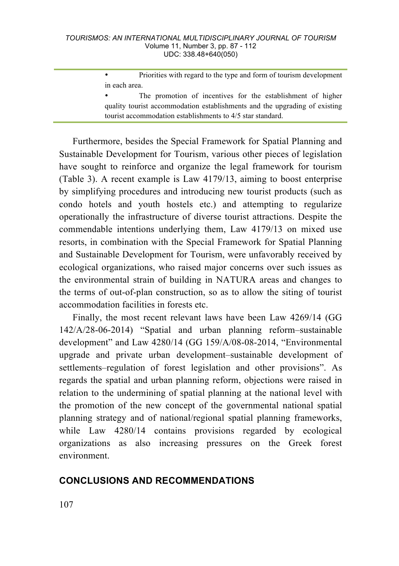• Priorities with regard to the type and form of tourism development in each area.

Furthermore, besides the Special Framework for Spatial Planning and Sustainable Development for Tourism, various other pieces of legislation have sought to reinforce and organize the legal framework for tourism (Table 3). A recent example is Law 4179/13, aiming to boost enterprise by simplifying procedures and introducing new tourist products (such as condo hotels and youth hostels etc.) and attempting to regularize operationally the infrastructure of diverse tourist attractions. Despite the commendable intentions underlying them, Law 4179/13 on mixed use resorts, in combination with the Special Framework for Spatial Planning and Sustainable Development for Tourism, were unfavorably received by ecological organizations, who raised major concerns over such issues as the environmental strain of building in NATURA areas and changes to the terms of out-of-plan construction, so as to allow the siting of tourist accommodation facilities in forests etc.

Finally, the most recent relevant laws have been Law 4269/14 (GG 142/A/28-06-2014) "Spatial and urban planning reform–sustainable development" and Law 4280/14 (GG 159/A/08-08-2014, "Environmental upgrade and private urban development–sustainable development of settlements–regulation of forest legislation and other provisions". As regards the spatial and urban planning reform, objections were raised in relation to the undermining of spatial planning at the national level with the promotion of the new concept of the governmental national spatial planning strategy and of national/regional spatial planning frameworks, while Law 4280/14 contains provisions regarded by ecological organizations as also increasing pressures on the Greek forest environment.

## **CONCLUSIONS AND RECOMMENDATIONS**

The promotion of incentives for the establishment of higher quality tourist accommodation establishments and the upgrading of existing tourist accommodation establishments to 4/5 star standard.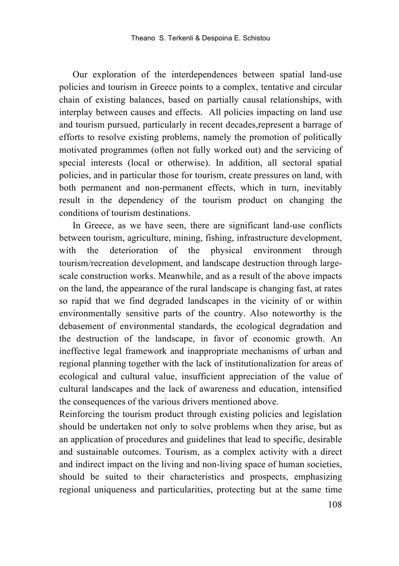Our exploration of the interdependences between spatial land-use policies and tourism in Greece points to a complex, tentative and circular chain of existing balances, based on partially causal relationships, with interplay between causes and effects. All policies impacting on land use and tourism pursued, particularly in recent decades,represent a barrage of efforts to resolve existing problems, namely the promotion of politically motivated programmes (often not fully worked out) and the servicing of special interests (local or otherwise). In addition, all sectoral spatial policies, and in particular those for tourism, create pressures on land, with both permanent and non-permanent effects, which in turn, inevitably result in the dependency of the tourism product on changing the conditions of tourism destinations.

In Greece, as we have seen, there are significant land-use conflicts between tourism, agriculture, mining, fishing, infrastructure development, with the deterioration of the physical environment through tourism/recreation development, and landscape destruction through largescale construction works. Meanwhile, and as a result of the above impacts on the land, the appearance of the rural landscape is changing fast, at rates so rapid that we find degraded landscapes in the vicinity of or within environmentally sensitive parts of the country. Also noteworthy is the debasement of environmental standards, the ecological degradation and the destruction of the landscape, in favor of economic growth. An ineffective legal framework and inappropriate mechanisms of urban and regional planning together with the lack of institutionalization for areas of ecological and cultural value, insufficient appreciation of the value of cultural landscapes and the lack of awareness and education, intensified the consequences of the various drivers mentioned above.

Reinforcing the tourism product through existing policies and legislation should be undertaken not only to solve problems when they arise, but as an application of procedures and guidelines that lead to specific, desirable and sustainable outcomes. Tourism, as a complex activity with a direct and indirect impact on the living and non-living space of human societies, should be suited to their characteristics and prospects, emphasizing regional uniqueness and particularities, protecting but at the same time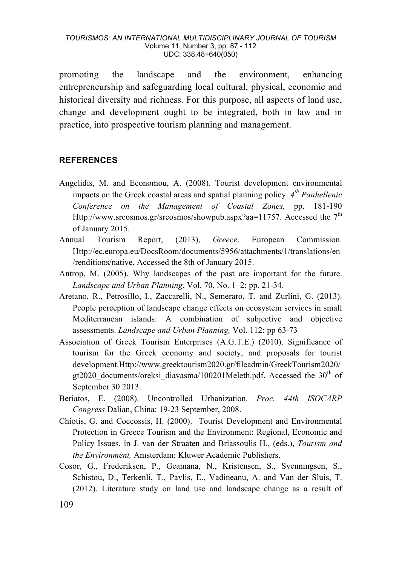promoting the landscape and the environment, enhancing entrepreneurship and safeguarding local cultural, physical, economic and historical diversity and richness. For this purpose, all aspects of land use, change and development ought to be integrated, both in law and in practice, into prospective tourism planning and management.

#### **REFERENCES**

- Angelidis, M. and Economou, A. (2008). Tourist development environmental impacts on the Greek coastal areas and spatial planning policy. *4th Panhellenic Conference on the Management of Coastal Zones,* pp. 181-190 Http://www.srcosmos.gr/srcosmos/showpub.aspx?aa=11757. Accessed the  $7<sup>th</sup>$ of January 2015.
- Annual Tourism Report, (2013), *Greece*. European Commission. Http://ec.europa.eu/DocsRoom/documents/5956/attachments/1/translations/en /renditions/native. Accessed the 8th of January 2015.
- Antrop, M. (2005). Why landscapes of the past are important for the future. *Landscape and Urban Planning*, Vol. 70, No. 1–2: pp. 21-34.
- Aretano, R., Petrosillo, I., Zaccarelli, N., Semeraro, T. and Zurlini, G. (2013). People perception of landscape change effects on ecosystem services in small Mediterranean islands: A combination of subjective and objective assessments. *Landscape and Urban Planning,* Vol. 112: pp 63-73
- Association of Greek Tourism Enterprises (A.G.T.E.) (2010). Significance of tourism for the Greek economy and society, and proposals for tourist development.Http://www.greektourism2020.gr/fileadmin/GreekTourism2020/ gt2020\_documents/oreksi\_diavasma/100201Meleth.pdf. Accessed the 30<sup>th</sup> of September 30 2013.
- Beriatos, E. (2008). Uncontrolled Urbanization. *Proc. 44th ISOCARP Congress*.Dalian, China: 19-23 September, 2008.
- Chiotis, G. and Coccossis, H. (2000). Tourist Development and Environmental Protection in Greece Tourism and the Environment: Regional, Economic and Policy Issues. in J. van der Straaten and Briassoulis H., (eds.), *Tourism and the Environment,* Amsterdam: Kluwer Academic Publishers.
- Cosor, G., Frederiksen, P., Geamana, N., Kristensen, S., Svenningsen, S., Schistou, D., Terkenli, T., Pavlis, E., Vadineanu, A. and Van der Sluis, T. (2012). Literature study on land use and landscape change as a result of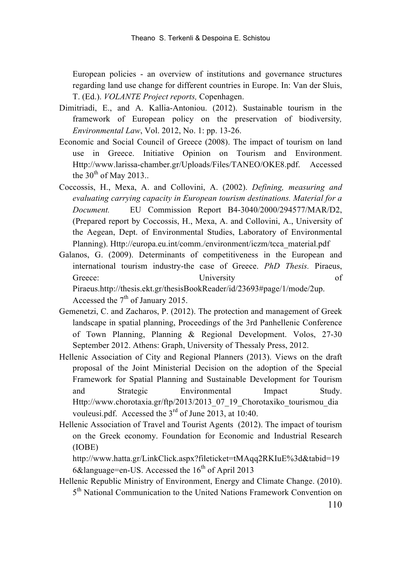European policies - an overview of institutions and governance structures regarding land use change for different countries in Europe. In: Van der Sluis, T. (Ed.). *VOLANTE Project reports,* Copenhagen.

- Dimitriadi, E., and A. Kallia-Antoniou. (2012). Sustainable tourism in the framework of European policy on the preservation of biodiversity*, Environmental Law*, Vol. 2012, No. 1: pp. 13-26.
- Economic and Social Council of Greece (2008). The impact of tourism on land use in Greece. Initiative Opinion on Tourism and Environment. Http://www.larissa-chamber.gr/Uploads/Files/TANEO/OKE8.pdf. Accessed the  $30<sup>th</sup>$  of May 2013..
- Coccossis, H., Mexa, A. and Collovini, A. (2002). *Defining, measuring and evaluating carrying capacity in European tourism destinations. Material for a Document.* EU Commission Report B4-3040/2000/294577/MAR/D2, (Prepared report by Coccossis, H., Mexa, A. and Collovini, A., University of the Aegean, Dept. of Environmental Studies, Laboratory of Environmental Planning). Http://europa.eu.int/comm./environment/iczm/tcca\_material.pdf
- Galanos, G. (2009). Determinants of competitiveness in the European and international tourism industry-the case of Greece. *PhD Thesis.* Piraeus, Greece: University of Piraeus.http://thesis.ekt.gr/thesisBookReader/id/23693#page/1/mode/2up. Accessed the  $7<sup>th</sup>$  of January 2015.
- Gemenetzi, C. and Zacharos, P. (2012). The protection and management of Greek landscape in spatial planning, Proceedings of the 3rd Panhellenic Conference of Town Planning, Planning & Regional Development. Volos, 27-30 September 2012. Athens: Graph, University of Thessaly Press, 2012.
- Hellenic Association of City and Regional Planners (2013). Views on the draft proposal of the Joint Ministerial Decision on the adoption of the Special Framework for Spatial Planning and Sustainable Development for Tourism and Strategic Environmental Impact Study. Http://www.chorotaxia.gr/ftp/2013/2013\_07\_19\_Chorotaxiko\_tourismou\_dia vouleusi.pdf. Accessed the 3rd of June 2013, at 10:40.
- Hellenic Association of Travel and Tourist Agents (2012). The impact of tourism on the Greek economy. Foundation for Economic and Industrial Research (IOBE)

http://www.hatta.gr/LinkClick.aspx?fileticket=tMAqq2RKIuE%3d&tabid=19 6 $&$ language=en-US. Accessed the 16<sup>th</sup> of April 2013

Hellenic Republic Ministry of Environment, Energy and Climate Change. (2010). 5<sup>th</sup> National Communication to the United Nations Framework Convention on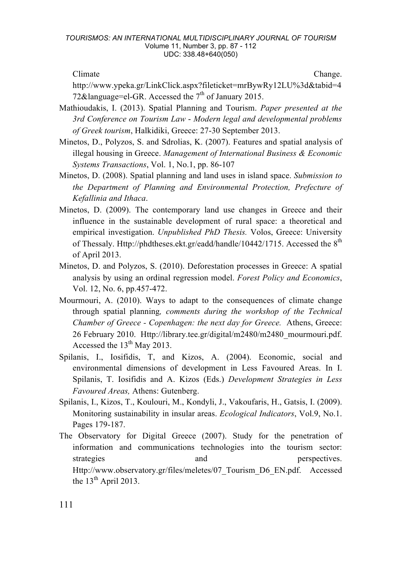Climate Change.

http://www.ypeka.gr/LinkClick.aspx?fileticket=mrBywRy12LU%3d&tabid=4 72&language=el-GR. Accessed the  $7<sup>th</sup>$  of January 2015.

- Mathioudakis, Ι. (2013). Spatial Planning and Tourism. *Paper presented at the 3rd Conference on Tourism Law* - *Modern legal and developmental problems of Greek tourism*, Halkidiki, Greece: 27-30 September 2013.
- Minetos, D., Polyzos, S. and Sdrolias, K. (2007). Features and spatial analysis of illegal housing in Greece. *Management of International Business & Economic Systems Transactions*, Vol. 1, No.1, pp. 86-107
- Minetos, D. (2008). Spatial planning and land uses in island space. *Submission to the Department of Planning and Environmental Protection, Prefecture of Kefallinia and Ithaca*.
- Minetos, D. (2009). The contemporary land use changes in Greece and their influence in the sustainable development of rural space: a theoretical and empirical investigation. *Unpublished PhD Thesis.* Volos, Greece: University of Thessaly. Http://phdtheses.ekt.gr/eadd/handle/10442/1715. Accessed the 8<sup>th</sup> of April 2013.
- Minetos, D. and Polyzos, S. (2010). Deforestation processes in Greece: A spatial analysis by using an ordinal regression model. *Forest Policy and Economics*, Vol. 12, No. 6, pp.457-472.
- Mourmouri, A. (2010). Ways to adapt to the consequences of climate change through spatial planning*, comments during the workshop of the Technical Chamber of Greece - Copenhagen: the next day for Greece.* Athens, Greece: 26 February 2010. Http://library.tee.gr/digital/m2480/m2480\_mourmouri.pdf. Accessed the 13th May 2013.
- Spilanis, I., Iosifidis, T, and Kizos, A. (2004). Economic, social and environmental dimensions of development in Less Favoured Areas. In I. Spilanis, T. Iosifidis and A. Kizos (Eds.) *Development Strategies in Less Favoured Areas,* Athens: Gutenberg.
- Spilanis, I., Kizos, T., Koulouri, M., Kondyli, J., Vakoufaris, H., Gatsis, I. (2009). Monitoring sustainability in insular areas. *Ecological Indicators*, Vol.9, No.1. Pages 179-187.
- The Observatory for Digital Greece (2007). Study for the penetration of information and communications technologies into the tourism sector: strategies and and perspectives. Http://www.observatory.gr/files/meletes/07\_Tourism\_D6\_EN.pdf. Accessed the  $13<sup>th</sup>$  April 2013.